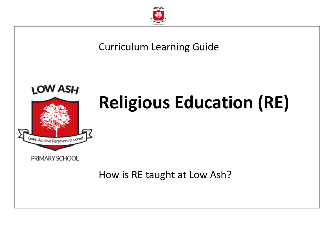

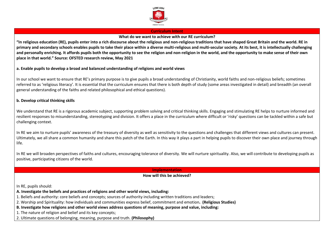

#### **Curriculum Intent**

**What do we want to achieve with our RE curriculum?**

**"In religious education (RE), pupils enter into a rich discourse about the religious and non-religious traditions that have shaped Great Britain and the world. RE in primary and secondary schools enables pupils to take their place within a diverse multi-religious and multi-secular society. At its best, it is intellectually challenging and personally enriching. It affords pupils both the opportunity to see the religion and non-religion in the world, and the opportunity to make sense of their own place in that world." Source: OFSTED research review, May 2021**

# **a. Enable pupils to develop a broad and balanced understanding of religions and world views**

In our school we want to ensure that RE's primary purpose is to give pupils a broad understanding of Christianity, world faiths and non-religious beliefs; sometimes referred to as 'religious literacy'. It is essential that the curriculum ensures that there is both depth of study (some areas investigated in detail) and breadth (an overall general understanding of the faiths and related philosophical and ethical questions).

# **b. Develop critical thinking skills**

We understand that RE is a rigorous academic subject, supporting problem solving and critical thinking skills. Engaging and stimulating RE helps to nurture informed and resilient responses to misunderstanding, stereotyping and division. It offers a place in the curriculum where difficult or 'risky' questions can be tackled within a safe but challenging context.

In RE we aim to nurture pupils' awareness of the treasury of diversity as well as sensitivity to the questions and challenges that different views and cultures can present. Ultimately, we all share a common humanity and share this patch of the Earth. In this way it plays a part in helping pupils to discover their own place and journey through life.

In RE we will broaden perspectives of faiths and cultures, encouraging tolerance of diversity. We will nurture spirituality. Also, we will contribute to developing pupils as positive, participating citizens of the world.

**Implementation**

#### **How will this be achieved?**

In RE, pupils should:

**A. Investigate the beliefs and practices of religions and other world views, including:** 

1. Beliefs and authority: core beliefs and concepts; sources of authority including written traditions and leaders;

2. Worship and Spirituality: how individuals and communities express belief, commitment and emotion**. (Religious Studies)**

**B. Investigate how religions and other world views address questions of meaning, purpose and value, including:** 

1. The nature of religion and belief and its key concepts;

2. Ultimate questions of belonging, meaning, purpose and truth. **(Philosophy)**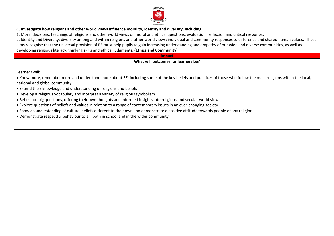

**C. Investigate how religions and other world views influence morality, identity and diversity, including:** 

1. Moral decisions: teachings of religions and other world views on moral and ethical questions; evaluation, reflection and critical responses;

2. Identity and Diversity: diversity among and within religions and other world views; individual and community responses to difference and shared human values. These aims recognise that the universal provision of RE must help pupils to gain increasing understanding and empathy of our wide and diverse communities, as well as developing religious literacy, thinking skills and ethical judgments. **(Ethics and Community)**

### **Impact**

# **What will outcomes for learners be?**

Learners will:

• Know more, remember more and understand more about RE; including some of the key beliefs and practices of those who follow the main religions within the local, national and global community

- Extend their knowledge and understanding of religions and beliefs
- Develop a religious vocabulary and interpret a variety of religious symbolism
- Reflect on big questions, offering their own thoughts and informed insights into religious and secular world views
- Explore questions of beliefs and values in relation to a range of contemporary issues in an ever-changing society
- Show an understanding of cultural beliefs different to their own and demonstrate a positive attitude towards people of any religion
- Demonstrate respectful behaviour to all, both in school and in the wider community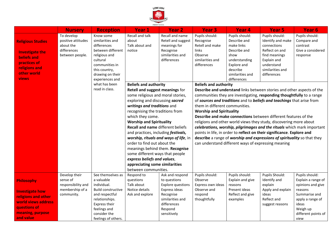

|                          | <b>Nursery</b>     | <b>Reception</b>          | PRIMARY SCHOOL<br>Year 1                 | <b>Year 2</b>            | <b>Year 3</b>                                                            | Year <sub>4</sub> | <b>Year 5</b>         | Year <sub>6</sub>   |
|--------------------------|--------------------|---------------------------|------------------------------------------|--------------------------|--------------------------------------------------------------------------|-------------------|-----------------------|---------------------|
|                          | To develop         | Know some                 | Recall and talk                          | Recall and name          | Pupils should:                                                           | Pupils should:    | Pupils should:        | Pupils should:      |
| <b>Religious Studies</b> | positive attitudes | similarities and          | about                                    | Retell and suggest       | Recognise                                                                | Describe and      | Identify and make     | Compare and         |
|                          | about the          | differences               | Talk about and                           | meanings for             | Retell and make                                                          | make links        | connections           | contrast            |
| <b>Investigate the</b>   | differences        | between different         | notice                                   | Recognise                | links                                                                    | Describe and      | Reflect on and        | Give a considered   |
| <b>beliefs and</b>       | between people.    | religious and             |                                          | similarities and         | Observe                                                                  | show              | find meanings         | response            |
| practices of             |                    | cultural                  |                                          | differences              | similarities and                                                         | understanding     | Explain and           |                     |
| religions and            |                    | communities in            |                                          |                          | differences                                                              | Explore and       | understand            |                     |
| other world              |                    | this country,             |                                          |                          |                                                                          | describe          | similarities and      |                     |
|                          |                    | drawing on their          |                                          |                          |                                                                          | similarities and  | differences           |                     |
| <b>views</b>             |                    | experiences and           |                                          |                          |                                                                          | differences       |                       |                     |
|                          |                    | what has been             | <b>Beliefs and authority</b>             |                          | <b>Beliefs and authority</b>                                             |                   |                       |                     |
|                          |                    | read in class.            | Retell and suggest meanings for          |                          | Describe and understand links between stories and other aspects of the   |                   |                       |                     |
|                          |                    |                           | some religious and moral stories,        |                          | communities they are investigating, responding thoughtfully to a range   |                   |                       |                     |
|                          |                    |                           | exploring and discussing sacred          |                          | of sources and traditions and to beliefs and teachings that arise from   |                   |                       |                     |
|                          |                    |                           | writings and traditions and              |                          | them in different communities.                                           |                   |                       |                     |
|                          |                    |                           | recognising the traditions from          |                          | <b>Worship and Spirituality</b>                                          |                   |                       |                     |
|                          |                    |                           | which they come.                         |                          | Describe and make connections between different features of the          |                   |                       |                     |
|                          |                    |                           | <b>Worship and Spirituality</b>          |                          | religions and other world views they study, discovering more about       |                   |                       |                     |
|                          |                    |                           | <b>Recall and name different beliefs</b> |                          | celebrations, worship, pilgrimages and the rituals which mark important  |                   |                       |                     |
|                          |                    |                           | and practices, including festivals,      |                          | points in life, in order to reflect on their significance. Explore and   |                   |                       |                     |
|                          |                    |                           | worship, rituals and ways of life, in    |                          | describe a range of worship and expressions of spirituality so that they |                   |                       |                     |
|                          |                    |                           | order to find out about the              |                          | can understand different ways of expressing meaning                      |                   |                       |                     |
|                          |                    |                           | meanings behind them. Recognise          |                          |                                                                          |                   |                       |                     |
|                          |                    |                           | some different ways that people          |                          |                                                                          |                   |                       |                     |
|                          |                    |                           | express beliefs and values,              |                          |                                                                          |                   |                       |                     |
|                          |                    |                           | appreciating some similarities           |                          |                                                                          |                   |                       |                     |
|                          |                    |                           | between communities.                     |                          |                                                                          |                   |                       |                     |
|                          | Develop their      | See themselves as         | Respond to                               | Ask and respond          | Pupils should:                                                           | Pupils should:    | <b>Pupils Should:</b> | Pupils should:      |
| Philosophy               | sense of           | a valuable                | questions                                | to questions             | Observe                                                                  | Explain and give  | Identify and          | Explain a range of  |
|                          | responsibility and | individual.               | Talk about                               | <b>Explore questions</b> | Express own ideas                                                        | reasons           | explain               | opinions and give   |
| <b>Investigate how</b>   | membership of a    | <b>Build constructive</b> | Notice details                           | Express ideas            | Observe and                                                              | Present ideas     | Apply and explain     | reasons             |
| religions and other      | community.         | and respectful            | Ask and explore                          | Recognise                | respond                                                                  | Reflect and give  | ideas                 | Summarise and       |
|                          |                    | relationships.            |                                          | similarities and         | thoughtfully                                                             | examples          | Reflect and           | apply a range of    |
| world views address      |                    | Express their             |                                          | differences              |                                                                          |                   | suggest reasons       | ideas               |
| questions of             |                    | feelings and              |                                          | Respond                  |                                                                          |                   |                       | Weigh up            |
| meaning, purpose         |                    | consider the              |                                          | sensitively              |                                                                          |                   |                       | different points of |
| and value                |                    | feelings of others.       |                                          |                          |                                                                          |                   |                       | view                |